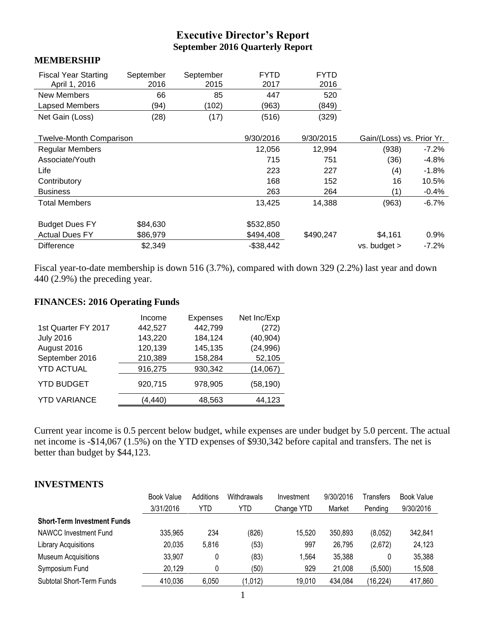# **Executive Director's Report September 2016 Quarterly Report**

#### **MEMBERSHIP**

| <b>Fiscal Year Starting</b><br>April 1, 2016 | September<br>2016 | September<br>2015 | <b>FYTD</b><br>2017 | <b>FYTD</b><br>2016 |                           |          |
|----------------------------------------------|-------------------|-------------------|---------------------|---------------------|---------------------------|----------|
| New Members                                  | 66                | 85                | 447                 | 520                 |                           |          |
| Lapsed Members                               | (94)              | (102)             | (963)               | (849)               |                           |          |
| Net Gain (Loss)                              | (28)              | (17)              | (516)               | (329)               |                           |          |
|                                              |                   |                   |                     |                     |                           |          |
| <b>Twelve-Month Comparison</b>               |                   |                   | 9/30/2016           | 9/30/2015           | Gain/(Loss) vs. Prior Yr. |          |
| <b>Regular Members</b>                       |                   |                   | 12,056              | 12,994              | (938)                     | $-7.2\%$ |
| Associate/Youth                              |                   |                   | 715                 | 751                 | (36)                      | $-4.8%$  |
| Life                                         |                   |                   | 223                 | 227                 | (4)                       | $-1.8%$  |
| Contributory                                 |                   |                   | 168                 | 152                 | 16                        | 10.5%    |
| <b>Business</b>                              |                   |                   | 263                 | 264                 | (1)                       | $-0.4%$  |
| <b>Total Members</b>                         |                   |                   | 13,425              | 14,388              | (963)                     | $-6.7%$  |
| <b>Budget Dues FY</b>                        | \$84,630          |                   | \$532,850           |                     |                           |          |
| <b>Actual Dues FY</b>                        | \$86,979          |                   | \$494,408           | \$490,247           | \$4,161                   | 0.9%     |
|                                              |                   |                   |                     |                     |                           |          |
| <b>Difference</b>                            | \$2,349           |                   | $-$38,442$          |                     | vs. budget >              | $-7.2%$  |

Fiscal year-to-date membership is down 516 (3.7%), compared with down 329 (2.2%) last year and down 440 (2.9%) the preceding year.

#### **FINANCES: 2016 Operating Funds**

|                     | Income  | Expenses | Net Inc/Exp |
|---------------------|---------|----------|-------------|
| 1st Quarter FY 2017 | 442,527 | 442,799  | (272)       |
| <b>July 2016</b>    | 143,220 | 184,124  | (40, 904)   |
| August 2016         | 120,139 | 145,135  | (24, 996)   |
| September 2016      | 210,389 | 158,284  | 52,105      |
| <b>YTD ACTUAL</b>   | 916,275 | 930,342  | (14,067)    |
| <b>YTD BUDGET</b>   | 920,715 | 978,905  | (58, 190)   |
| <b>YTD VARIANCE</b> | (4,440) | 48,563   | 44,123      |

Current year income is 0.5 percent below budget, while expenses are under budget by 5.0 percent. The actual net income is -\$14,067 (1.5%) on the YTD expenses of \$930,342 before capital and transfers. The net is better than budget by \$44,123.

#### **INVESTMENTS**

|                                    | <b>Book Value</b> | Additions | Withdrawals | Investment | 9/30/2016 | Transfers | <b>Book Value</b> |
|------------------------------------|-------------------|-----------|-------------|------------|-----------|-----------|-------------------|
|                                    | 3/31/2016         | YTD       | YTD         | Change YTD | Market    | Pending   | 9/30/2016         |
| <b>Short-Term Investment Funds</b> |                   |           |             |            |           |           |                   |
| NAWCC Investment Fund              | 335,965           | 234       | (826)       | 15,520     | 350,893   | (8,052)   | 342,841           |
| <b>Library Acquisitions</b>        | 20,035            | 5,816     | (53)        | 997        | 26,795    | (2,672)   | 24,123            |
| <b>Museum Acquisitions</b>         | 33,907            | 0         | (83)        | 1,564      | 35,388    | 0         | 35,388            |
| Symposium Fund                     | 20,129            | 0         | (50)        | 929        | 21,008    | (5,500)   | 15,508            |
| <b>Subtotal Short-Term Funds</b>   | 410,036           | 6,050     | (1,012)     | 19,010     | 434,084   | (16, 224) | 417,860           |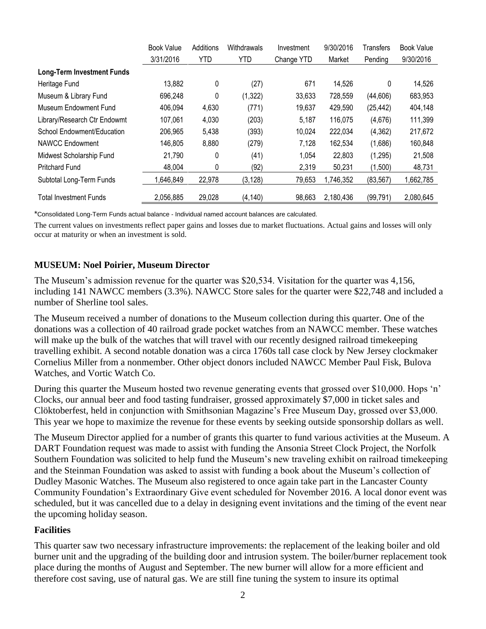|                                   | <b>Book Value</b> | Additions  | Withdrawals | Investment | 9/30/2016 | Transfers | <b>Book Value</b> |
|-----------------------------------|-------------------|------------|-------------|------------|-----------|-----------|-------------------|
|                                   | 3/31/2016         | <b>YTD</b> | YTD         | Change YTD | Market    | Pending   | 9/30/2016         |
| <b>Long-Term Investment Funds</b> |                   |            |             |            |           |           |                   |
| Heritage Fund                     | 13,882            | 0          | (27)        | 671        | 14,526    | 0         | 14,526            |
| Museum & Library Fund             | 696,248           | 0          | (1, 322)    | 33,633     | 728,559   | (44, 606) | 683,953           |
| Museum Endowment Fund             | 406,094           | 4,630      | (771)       | 19,637     | 429,590   | (25, 442) | 404,148           |
| Library/Research Ctr Endowmt      | 107,061           | 4,030      | (203)       | 5,187      | 116,075   | (4,676)   | 111,399           |
| School Endowment/Education        | 206,965           | 5,438      | (393)       | 10,024     | 222,034   | (4, 362)  | 217,672           |
| NAWCC Endowment                   | 146,805           | 8,880      | (279)       | 7,128      | 162,534   | (1,686)   | 160,848           |
| Midwest Scholarship Fund          | 21,790            | 0          | (41)        | 1,054      | 22,803    | (1, 295)  | 21,508            |
| <b>Pritchard Fund</b>             | 48,004            | 0          | (92)        | 2,319      | 50,231    | (1,500)   | 48,731            |
| Subtotal Long-Term Funds          | 1,646,849         | 22,978     | (3, 128)    | 79,653     | 1,746,352 | (83, 567) | 1,662,785         |
| <b>Total Investment Funds</b>     | 2,056,885         | 29,028     | (4, 140)    | 98,663     | 2,180,436 | (99, 791) | 2,080,645         |

\*Consolidated Long-Term Funds actual balance - Individual named account balances are calculated.

The current values on investments reflect paper gains and losses due to market fluctuations. Actual gains and losses will only occur at maturity or when an investment is sold.

#### **MUSEUM: Noel Poirier, Museum Director**

The Museum's admission revenue for the quarter was \$20,534. Visitation for the quarter was 4,156, including 141 NAWCC members (3.3%). NAWCC Store sales for the quarter were \$22,748 and included a number of Sherline tool sales.

The Museum received a number of donations to the Museum collection during this quarter. One of the donations was a collection of 40 railroad grade pocket watches from an NAWCC member. These watches will make up the bulk of the watches that will travel with our recently designed railroad timekeeping travelling exhibit. A second notable donation was a circa 1760s tall case clock by New Jersey clockmaker Cornelius Miller from a nonmember. Other object donors included NAWCC Member Paul Fisk, Bulova Watches, and Vortic Watch Co.

During this quarter the Museum hosted two revenue generating events that grossed over \$10,000. Hops 'n' Clocks, our annual beer and food tasting fundraiser, grossed approximately \$7,000 in ticket sales and Clöktoberfest, held in conjunction with Smithsonian Magazine's Free Museum Day, grossed over \$3,000. This year we hope to maximize the revenue for these events by seeking outside sponsorship dollars as well.

The Museum Director applied for a number of grants this quarter to fund various activities at the Museum. A DART Foundation request was made to assist with funding the Ansonia Street Clock Project, the Norfolk Southern Foundation was solicited to help fund the Museum's new traveling exhibit on railroad timekeeping and the Steinman Foundation was asked to assist with funding a book about the Museum's collection of Dudley Masonic Watches. The Museum also registered to once again take part in the Lancaster County Community Foundation's Extraordinary Give event scheduled for November 2016. A local donor event was scheduled, but it was cancelled due to a delay in designing event invitations and the timing of the event near the upcoming holiday season.

#### **Facilities**

This quarter saw two necessary infrastructure improvements: the replacement of the leaking boiler and old burner unit and the upgrading of the building door and intrusion system. The boiler/burner replacement took place during the months of August and September. The new burner will allow for a more efficient and therefore cost saving, use of natural gas. We are still fine tuning the system to insure its optimal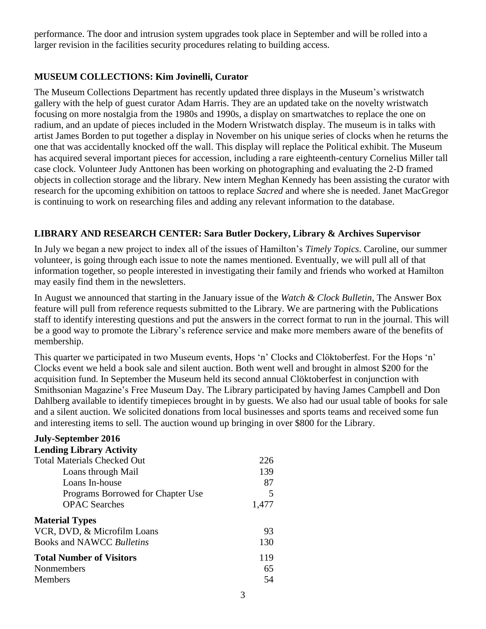performance. The door and intrusion system upgrades took place in September and will be rolled into a larger revision in the facilities security procedures relating to building access.

## **MUSEUM COLLECTIONS: Kim Jovinelli, Curator**

The Museum Collections Department has recently updated three displays in the Museum's wristwatch gallery with the help of guest curator Adam Harris. They are an updated take on the novelty wristwatch focusing on more nostalgia from the 1980s and 1990s, a display on smartwatches to replace the one on radium, and an update of pieces included in the Modern Wristwatch display. The museum is in talks with artist James Borden to put together a display in November on his unique series of clocks when he returns the one that was accidentally knocked off the wall. This display will replace the Political exhibit. The Museum has acquired several important pieces for accession, including a rare eighteenth-century Cornelius Miller tall case clock. Volunteer Judy Anttonen has been working on photographing and evaluating the 2-D framed objects in collection storage and the library. New intern Meghan Kennedy has been assisting the curator with research for the upcoming exhibition on tattoos to replace *Sacred* and where she is needed. Janet MacGregor is continuing to work on researching files and adding any relevant information to the database.

## **LIBRARY AND RESEARCH CENTER: Sara Butler Dockery, Library & Archives Supervisor**

In July we began a new project to index all of the issues of Hamilton's *Timely Topics*. Caroline, our summer volunteer, is going through each issue to note the names mentioned. Eventually, we will pull all of that information together, so people interested in investigating their family and friends who worked at Hamilton may easily find them in the newsletters.

In August we announced that starting in the January issue of the *Watch & Clock Bulletin*, The Answer Box feature will pull from reference requests submitted to the Library. We are partnering with the Publications staff to identify interesting questions and put the answers in the correct format to run in the journal. This will be a good way to promote the Library's reference service and make more members aware of the benefits of membership.

This quarter we participated in two Museum events, Hops 'n' Clocks and Clöktoberfest. For the Hops 'n' Clocks event we held a book sale and silent auction. Both went well and brought in almost \$200 for the acquisition fund. In September the Museum held its second annual Clöktoberfest in conjunction with Smithsonian Magazine's Free Museum Day. The Library participated by having James Campbell and Don Dahlberg available to identify timepieces brought in by guests. We also had our usual table of books for sale and a silent auction. We solicited donations from local businesses and sports teams and received some fun and interesting items to sell. The auction wound up bringing in over \$800 for the Library.

| <b>July-September 2016</b>         |       |
|------------------------------------|-------|
| <b>Lending Library Activity</b>    |       |
| <b>Total Materials Checked Out</b> | 226   |
| Loans through Mail                 | 139   |
| Loans In-house                     | 87    |
| Programs Borrowed for Chapter Use  |       |
| <b>OPAC</b> Searches               | 1,477 |
| <b>Material Types</b>              |       |
| VCR, DVD, & Microfilm Loans        | 93    |
| <b>Books and NAWCC Bulletins</b>   | 130   |
| <b>Total Number of Visitors</b>    | 119   |
| Nonmembers                         | 65    |
| <b>Members</b>                     | 54    |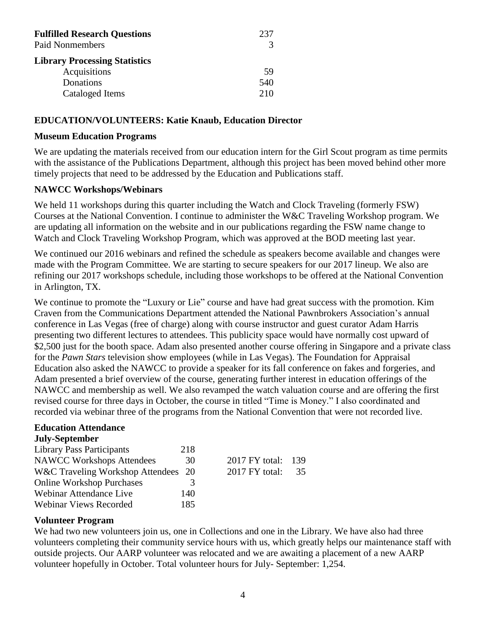| <b>Fulfilled Research Questions</b>  | 237 |
|--------------------------------------|-----|
| <b>Paid Nonmembers</b>               |     |
| <b>Library Processing Statistics</b> |     |
| Acquisitions                         | .59 |
| Donations                            | 540 |
| Cataloged Items                      | 210 |

#### **EDUCATION/VOLUNTEERS: Katie Knaub, Education Director**

#### **Museum Education Programs**

We are updating the materials received from our education intern for the Girl Scout program as time permits with the assistance of the Publications Department, although this project has been moved behind other more timely projects that need to be addressed by the Education and Publications staff.

#### **NAWCC Workshops/Webinars**

We held 11 workshops during this quarter including the Watch and Clock Traveling (formerly FSW) Courses at the National Convention. I continue to administer the W&C Traveling Workshop program. We are updating all information on the website and in our publications regarding the FSW name change to Watch and Clock Traveling Workshop Program, which was approved at the BOD meeting last year.

We continued our 2016 webinars and refined the schedule as speakers become available and changes were made with the Program Committee. We are starting to secure speakers for our 2017 lineup. We also are refining our 2017 workshops schedule, including those workshops to be offered at the National Convention in Arlington, TX.

We continue to promote the "Luxury or Lie" course and have had great success with the promotion. Kim Craven from the Communications Department attended the National Pawnbrokers Association's annual conference in Las Vegas (free of charge) along with course instructor and guest curator Adam Harris presenting two different lectures to attendees. This publicity space would have normally cost upward of \$2,500 just for the booth space. Adam also presented another course offering in Singapore and a private class for the *Pawn Stars* television show employees (while in Las Vegas). The Foundation for Appraisal Education also asked the NAWCC to provide a speaker for its fall conference on fakes and forgeries, and Adam presented a brief overview of the course, generating further interest in education offerings of the NAWCC and membership as well. We also revamped the watch valuation course and are offering the first revised course for three days in October, the course in titled "Time is Money." I also coordinated and recorded via webinar three of the programs from the National Convention that were not recorded live.

#### **Education Attendance July-September**

| 218                                     |                |                    |
|-----------------------------------------|----------------|--------------------|
| 30                                      |                |                    |
| W&C Traveling Workshop Attendees<br>-20 | 2017 FY total: | 35                 |
| $\mathcal{Z}$                           |                |                    |
| 140                                     |                |                    |
| 185                                     |                |                    |
|                                         |                | 2017 FY total: 139 |

#### **Volunteer Program**

We had two new volunteers join us, one in Collections and one in the Library. We have also had three volunteers completing their community service hours with us, which greatly helps our maintenance staff with outside projects. Our AARP volunteer was relocated and we are awaiting a placement of a new AARP volunteer hopefully in October. Total volunteer hours for July- September: 1,254.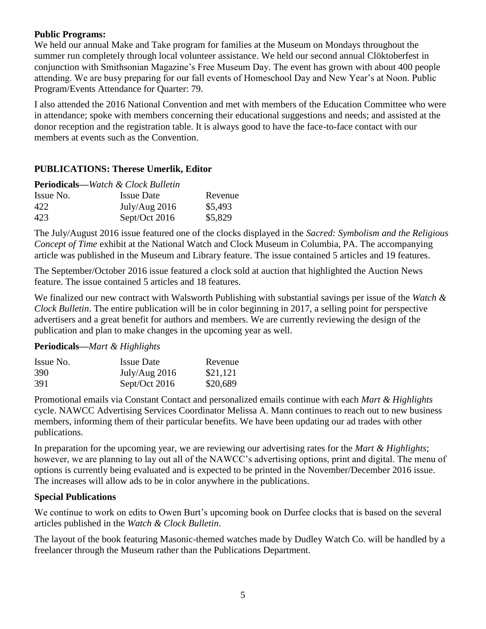#### **Public Programs:**

We held our annual Make and Take program for families at the Museum on Mondays throughout the summer run completely through local volunteer assistance. We held our second annual Clöktoberfest in conjunction with Smithsonian Magazine's Free Museum Day. The event has grown with about 400 people attending. We are busy preparing for our fall events of Homeschool Day and New Year's at Noon. Public Program/Events Attendance for Quarter: 79.

I also attended the 2016 National Convention and met with members of the Education Committee who were in attendance; spoke with members concerning their educational suggestions and needs; and assisted at the donor reception and the registration table. It is always good to have the face-to-face contact with our members at events such as the Convention.

#### **PUBLICATIONS: Therese Umerlik, Editor**

|           | <b>Periodicals—Watch &amp; Clock Bulletin</b> |         |
|-----------|-----------------------------------------------|---------|
| Issue No. | <b>Issue Date</b>                             | Revenue |
| 422       | July/Aug $2016$                               | \$5,493 |
| 423       | Sept/Oct 2016                                 | \$5,829 |

The July/August 2016 issue featured one of the clocks displayed in the *Sacred: Symbolism and the Religious Concept of Time* exhibit at the National Watch and Clock Museum in Columbia, PA. The accompanying article was published in the Museum and Library feature. The issue contained 5 articles and 19 features.

The September/October 2016 issue featured a clock sold at auction that highlighted the Auction News feature. The issue contained 5 articles and 18 features.

We finalized our new contract with Walsworth Publishing with substantial savings per issue of the *Watch & Clock Bulletin*. The entire publication will be in color beginning in 2017, a selling point for perspective advertisers and a great benefit for authors and members. We are currently reviewing the design of the publication and plan to make changes in the upcoming year as well.

#### **Periodicals—***Mart & Highlights*

| Issue No. | <b>Issue Date</b> | Revenue  |
|-----------|-------------------|----------|
| 390       | July/Aug $2016$   | \$21,121 |
| 391       | Sept/Oct $2016$   | \$20,689 |

Promotional emails via Constant Contact and personalized emails continue with each *Mart & Highlights* cycle. NAWCC Advertising Services Coordinator Melissa A. Mann continues to reach out to new business members, informing them of their particular benefits. We have been updating our ad trades with other publications.

In preparation for the upcoming year, we are reviewing our advertising rates for the *Mart & Highlights*; however, we are planning to lay out all of the NAWCC's advertising options, print and digital. The menu of options is currently being evaluated and is expected to be printed in the November/December 2016 issue. The increases will allow ads to be in color anywhere in the publications.

#### **Special Publications**

We continue to work on edits to Owen Burt's upcoming book on Durfee clocks that is based on the several articles published in the *Watch & Clock Bulletin*.

The layout of the book featuring Masonic-themed watches made by Dudley Watch Co. will be handled by a freelancer through the Museum rather than the Publications Department.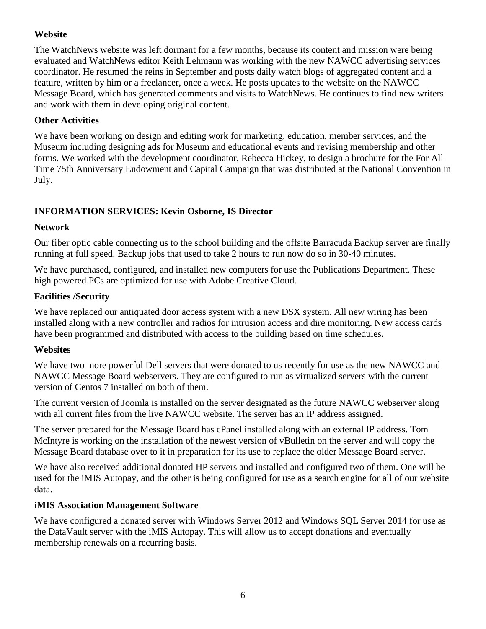## **Website**

The WatchNews website was left dormant for a few months, because its content and mission were being evaluated and WatchNews editor Keith Lehmann was working with the new NAWCC advertising services coordinator. He resumed the reins in September and posts daily watch blogs of aggregated content and a feature, written by him or a freelancer, once a week. He posts updates to the website on the NAWCC Message Board, which has generated comments and visits to WatchNews. He continues to find new writers and work with them in developing original content.

### **Other Activities**

We have been working on design and editing work for marketing, education, member services, and the Museum including designing ads for Museum and educational events and revising membership and other forms. We worked with the development coordinator, Rebecca Hickey, to design a brochure for the For All Time 75th Anniversary Endowment and Capital Campaign that was distributed at the National Convention in July.

## **INFORMATION SERVICES: Kevin Osborne, IS Director**

#### **Network**

Our fiber optic cable connecting us to the school building and the offsite Barracuda Backup server are finally running at full speed. Backup jobs that used to take 2 hours to run now do so in 30-40 minutes.

We have purchased, configured, and installed new computers for use the Publications Department. These high powered PCs are optimized for use with Adobe Creative Cloud.

## **Facilities /Security**

We have replaced our antiquated door access system with a new DSX system. All new wiring has been installed along with a new controller and radios for intrusion access and dire monitoring. New access cards have been programmed and distributed with access to the building based on time schedules.

#### **Websites**

We have two more powerful Dell servers that were donated to us recently for use as the new NAWCC and NAWCC Message Board webservers. They are configured to run as virtualized servers with the current version of Centos 7 installed on both of them.

The current version of Joomla is installed on the server designated as the future NAWCC webserver along with all current files from the live NAWCC website. The server has an IP address assigned.

The server prepared for the Message Board has cPanel installed along with an external IP address. Tom McIntyre is working on the installation of the newest version of vBulletin on the server and will copy the Message Board database over to it in preparation for its use to replace the older Message Board server.

We have also received additional donated HP servers and installed and configured two of them. One will be used for the iMIS Autopay, and the other is being configured for use as a search engine for all of our website data.

#### **iMIS Association Management Software**

We have configured a donated server with Windows Server 2012 and Windows SOL Server 2014 for use as the DataVault server with the iMIS Autopay. This will allow us to accept donations and eventually membership renewals on a recurring basis.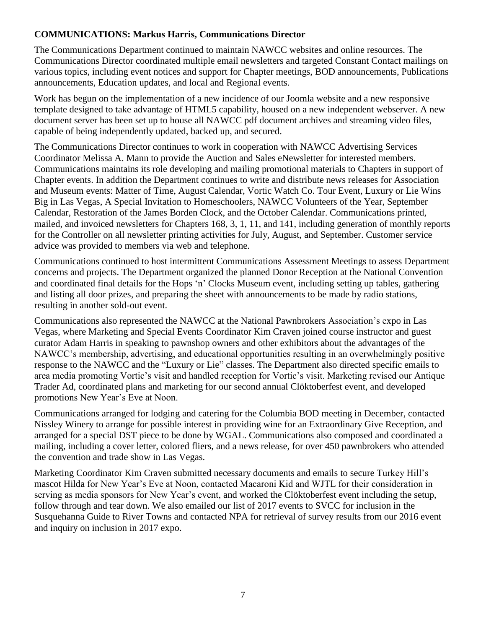## **COMMUNICATIONS: Markus Harris, Communications Director**

The Communications Department continued to maintain NAWCC websites and online resources. The Communications Director coordinated multiple email newsletters and targeted Constant Contact mailings on various topics, including event notices and support for Chapter meetings, BOD announcements, Publications announcements, Education updates, and local and Regional events.

Work has begun on the implementation of a new incidence of our Joomla website and a new responsive template designed to take advantage of HTML5 capability, housed on a new independent webserver. A new document server has been set up to house all NAWCC pdf document archives and streaming video files, capable of being independently updated, backed up, and secured.

The Communications Director continues to work in cooperation with NAWCC Advertising Services Coordinator Melissa A. Mann to provide the Auction and Sales eNewsletter for interested members. Communications maintains its role developing and mailing promotional materials to Chapters in support of Chapter events. In addition the Department continues to write and distribute news releases for Association and Museum events: Matter of Time, August Calendar, Vortic Watch Co. Tour Event, Luxury or Lie Wins Big in Las Vegas, A Special Invitation to Homeschoolers, NAWCC Volunteers of the Year, September Calendar, Restoration of the James Borden Clock, and the October Calendar. Communications printed, mailed, and invoiced newsletters for Chapters 168, 3, 1, 11, and 141, including generation of monthly reports for the Controller on all newsletter printing activities for July, August, and September. Customer service advice was provided to members via web and telephone.

Communications continued to host intermittent Communications Assessment Meetings to assess Department concerns and projects. The Department organized the planned Donor Reception at the National Convention and coordinated final details for the Hops 'n' Clocks Museum event, including setting up tables, gathering and listing all door prizes, and preparing the sheet with announcements to be made by radio stations, resulting in another sold-out event.

Communications also represented the NAWCC at the National Pawnbrokers Association's expo in Las Vegas, where Marketing and Special Events Coordinator Kim Craven joined course instructor and guest curator Adam Harris in speaking to pawnshop owners and other exhibitors about the advantages of the NAWCC's membership, advertising, and educational opportunities resulting in an overwhelmingly positive response to the NAWCC and the "Luxury or Lie" classes. The Department also directed specific emails to area media promoting Vortic's visit and handled reception for Vortic's visit. Marketing revised our Antique Trader Ad, coordinated plans and marketing for our second annual Clöktoberfest event, and developed promotions New Year's Eve at Noon.

Communications arranged for lodging and catering for the Columbia BOD meeting in December, contacted Nissley Winery to arrange for possible interest in providing wine for an Extraordinary Give Reception, and arranged for a special DST piece to be done by WGAL. Communications also composed and coordinated a mailing, including a cover letter, colored fliers, and a news release, for over 450 pawnbrokers who attended the convention and trade show in Las Vegas.

Marketing Coordinator Kim Craven submitted necessary documents and emails to secure Turkey Hill's mascot Hilda for New Year's Eve at Noon, contacted Macaroni Kid and WJTL for their consideration in serving as media sponsors for New Year's event, and worked the Clöktoberfest event including the setup, follow through and tear down. We also emailed our list of 2017 events to SVCC for inclusion in the Susquehanna Guide to River Towns and contacted NPA for retrieval of survey results from our 2016 event and inquiry on inclusion in 2017 expo.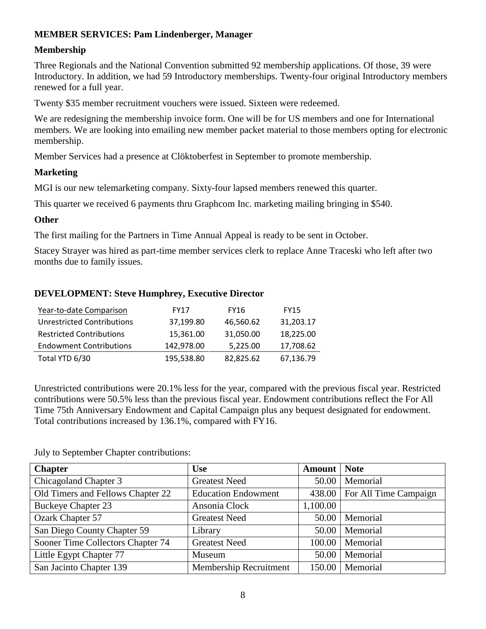## **MEMBER SERVICES: Pam Lindenberger, Manager**

### **Membership**

Three Regionals and the National Convention submitted 92 membership applications. Of those, 39 were Introductory. In addition, we had 59 Introductory memberships. Twenty-four original Introductory members renewed for a full year.

Twenty \$35 member recruitment vouchers were issued. Sixteen were redeemed.

We are redesigning the membership invoice form. One will be for US members and one for International members. We are looking into emailing new member packet material to those members opting for electronic membership.

Member Services had a presence at Clöktoberfest in September to promote membership.

## **Marketing**

MGI is our new telemarketing company. Sixty-four lapsed members renewed this quarter.

This quarter we received 6 payments thru Graphcom Inc. marketing mailing bringing in \$540.

#### **Other**

The first mailing for the Partners in Time Annual Appeal is ready to be sent in October.

Stacey Strayer was hired as part-time member services clerk to replace Anne Traceski who left after two months due to family issues.

#### **DEVELOPMENT: Steve Humphrey, Executive Director**

| Year-to-date Comparison         | <b>FY17</b> | FY16      | <b>FY15</b> |
|---------------------------------|-------------|-----------|-------------|
| Unrestricted Contributions      | 37,199.80   | 46,560.62 | 31,203.17   |
| <b>Restricted Contributions</b> | 15,361.00   | 31,050.00 | 18,225.00   |
| <b>Endowment Contributions</b>  | 142,978.00  | 5,225.00  | 17,708.62   |
| Total YTD 6/30                  | 195,538.80  | 82,825.62 | 67,136.79   |

Unrestricted contributions were 20.1% less for the year, compared with the previous fiscal year. Restricted contributions were 50.5% less than the previous fiscal year. Endowment contributions reflect the For All Time 75th Anniversary Endowment and Capital Campaign plus any bequest designated for endowment. Total contributions increased by 136.1%, compared with FY16.

July to September Chapter contributions:

| <b>Chapter</b>                    | <b>Use</b>                 | <b>Amount</b> | <b>Note</b>                    |
|-----------------------------------|----------------------------|---------------|--------------------------------|
| Chicagoland Chapter 3             | <b>Greatest Need</b>       | 50.00         | Memorial                       |
| Old Timers and Fellows Chapter 22 | <b>Education Endowment</b> |               | 438.00   For All Time Campaign |
| <b>Buckeye Chapter 23</b>         | Ansonia Clock              | 1,100.00      |                                |
| Ozark Chapter 57                  | <b>Greatest Need</b>       | 50.00         | Memorial                       |
| San Diego County Chapter 59       | Library                    | 50.00         | Memorial                       |
| Sooner Time Collectors Chapter 74 | <b>Greatest Need</b>       | 100.00        | Memorial                       |
| Little Egypt Chapter 77           | Museum                     | 50.00         | Memorial                       |
| San Jacinto Chapter 139           | Membership Recruitment     | 150.00        | Memorial                       |